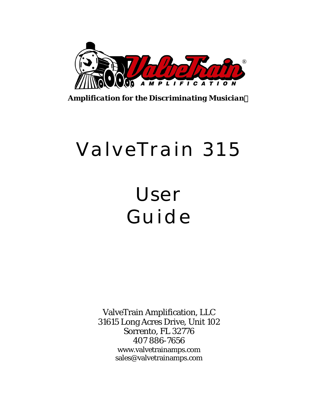

*Amplification for the Discriminating Musician*

# ValveTrain 315

## User Guide

ValveTrain Amplification, LLC 31615 Long Acres Drive, Unit 102 Sorrento, FL 32776 407 886-7656 www.valvetrainamps.com sales@valvetrainamps.com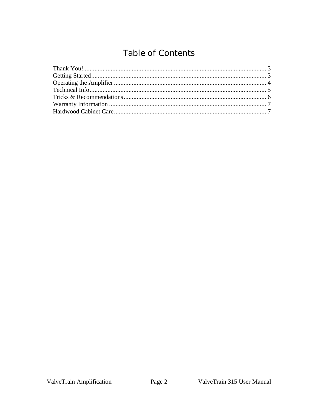### Table of Contents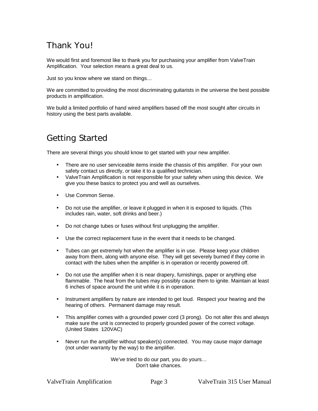#### Thank You!

We would first and foremost like to thank you for purchasing your amplifier from ValveTrain Amplification. Your selection means a great deal to us.

Just so you know where we stand on things…

We are committed to providing the most discriminating guitarists in the universe the best possible products in amplification.

We build a limited portfolio of hand wired amplifiers based off the most sought after circuits in history using the best parts available.

#### Getting Started

There are several things you should know to get started with your new amplifier.

- There are no user serviceable items inside the chassis of this amplifier. For your own safety contact us directly, or take it to a qualified technician.
- ValveTrain Amplification is not responsible for your safety when using this device. We give you these basics to protect you and well as ourselves.
- Use Common Sense.
- Do not use the amplifier, or leave it plugged in when it is exposed to liquids. (This includes rain, water, soft drinks and beer.)
- Do not change tubes or fuses without first unplugging the amplifier.
- Use the correct replacement fuse in the event that it needs to be changed.
- Tubes can get extremely hot when the amplifier is in use. Please keep your children away from them, along with anyone else. They will get severely burned if they come in contact with the tubes when the amplifier is in operation or recently powered off.
- Do not use the amplifier when it is near drapery, furnishings, paper or anything else flammable. The heat from the tubes may possibly cause them to ignite. Maintain at least 6 inches of space around the unit while it is in operation.
- Instrument amplifiers by nature are intended to get loud. Respect your hearing and the hearing of others. Permanent damage may result.
- This amplifier comes with a grounded power cord (3 prong). Do not alter this and always make sure the unit is connected to properly grounded power of the correct voltage. (United States 120VAC)
- Never run the amplifier without speaker(s) connected. You may cause major damage (not under warranty by the way) to the amplifier.

We've tried to do our part, you do yours… Don't take chances.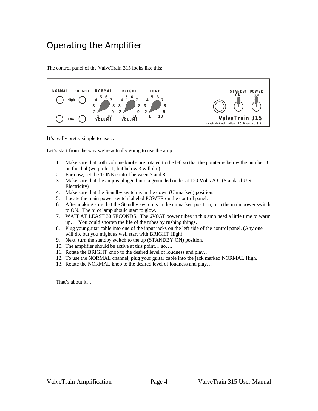#### Operating the Amplifier

The control panel of the ValveTrain 315 looks like this:



It's really pretty simple to use...

Let's start from the way we're actually going to use the amp.

- 1. Make sure that both volume knobs are rotated to the left so that the pointer is below the number 3 on the dial (we prefer 1, but below 3 will do.)
- 2. For now, set the TONE control between 7 and 8..
- 3. Make sure that the amp is plugged into a grounded outlet at 120 Volts A.C (Standard U.S. Electricity)
- 4. Make sure that the Standby switch is in the down (Unmarked) position.
- 5. Locate the main power switch labeled POWER on the control panel.
- 6. After making sure that the Standby switch is in the unmarked position, turn the main power switch to ON. The pilot lamp should start to glow.
- 7. WAIT AT LEAST 30 SECONDS. The 6V6GT power tubes in this amp need a little time to warm up… You could shorten the life of the tubes by rushing things…
- 8. Plug your guitar cable into one of the input jacks on the left side of the control panel. (Any one will do, but you might as well start with BRIGHT High)
- 9. Next, turn the standby switch to the up (STANDBY ON) position.
- 10. The amplifier should be active at this point… so….
- 11. Rotate the BRIGHT knob to the desired level of loudness and play…
- 12. To use the NORMAL channel, plug your guitar cable into the jack marked NORMAL High.
- 13. Rotate the NORMAL knob to the desired level of loudness and play…

That's about it…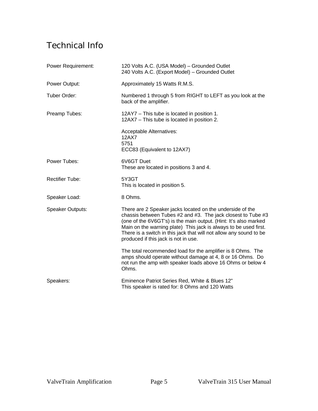### Technical Info

| Power Requirement:      | 120 Volts A.C. (USA Model) - Grounded Outlet<br>240 Volts A.C. (Export Model) - Grounded Outlet                                                                                                                                                                                                                                                                                 |
|-------------------------|---------------------------------------------------------------------------------------------------------------------------------------------------------------------------------------------------------------------------------------------------------------------------------------------------------------------------------------------------------------------------------|
| Power Output:           | Approximately 15 Watts R.M.S.                                                                                                                                                                                                                                                                                                                                                   |
| Tuber Order:            | Numbered 1 through 5 from RIGHT to LEFT as you look at the<br>back of the amplifier.                                                                                                                                                                                                                                                                                            |
| Preamp Tubes:           | 12AY7 - This tube is located in position 1.<br>12AX7 - This tube is located in position 2.                                                                                                                                                                                                                                                                                      |
|                         | Acceptable Alternatives:<br>12AX7<br>5751<br>ECC83 (Equivalent to 12AX7)                                                                                                                                                                                                                                                                                                        |
| Power Tubes:            | 6V6GT Duet<br>These are located in positions 3 and 4.                                                                                                                                                                                                                                                                                                                           |
| <b>Rectifier Tube:</b>  | 5Y3GT<br>This is located in position 5.                                                                                                                                                                                                                                                                                                                                         |
| Speaker Load:           | 8 Ohms.                                                                                                                                                                                                                                                                                                                                                                         |
| <b>Speaker Outputs:</b> | There are 2 Speaker jacks located on the underside of the<br>chassis between Tubes #2 and #3. The jack closest to Tube #3<br>(one of the 6V6GT's) is the main output. (Hint: It's also marked<br>Main on the warning plate) This jack is always to be used first.<br>There is a switch in this jack that will not allow any sound to be<br>produced if this jack is not in use. |
|                         | The total recommended load for the amplifier is 8 Ohms. The<br>amps should operate without damage at 4, 8 or 16 Ohms. Do<br>not run the amp with speaker loads above 16 Ohms or below 4<br>Ohms.                                                                                                                                                                                |
| Speakers:               | Eminence Patriot Series Red, White & Blues 12"<br>This speaker is rated for: 8 Ohms and 120 Watts                                                                                                                                                                                                                                                                               |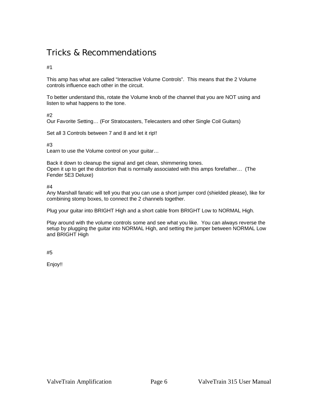#### Tricks & Recommendations

#1

This amp has what are called "Interactive Volume Controls". This means that the 2 Volume controls influence each other in the circuit.

To better understand this, rotate the Volume knob of the channel that you are NOT using and listen to what happens to the tone.

#2

Our Favorite Setting… (For Stratocasters, Telecasters and other Single Coil Guitars)

Set all 3 Controls between 7 and 8 and let it rip!!

#3

Learn to use the Volume control on your guitar…

Back it down to cleanup the signal and get clean, shimmering tones. Open it up to get the distortion that is normally associated with this amps forefather… (The Fender 5E3 Deluxe)

#4

Any Marshall fanatic will tell you that you can use a short jumper cord (shielded please), like for combining stomp boxes, to connect the 2 channels together.

Plug your guitar into BRIGHT High and a short cable from BRIGHT Low to NORMAL High.

Play around with the volume controls some and see what you like. You can always reverse the setup by plugging the guitar into NORMAL High, and setting the jumper between NORMAL Low and BRIGHT High

#5

Enjoy!!